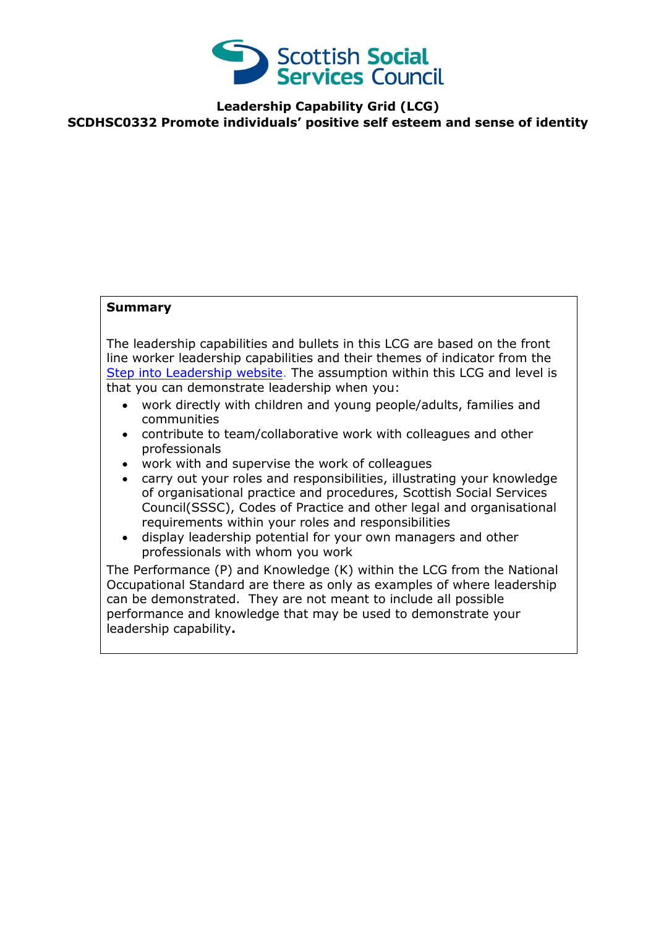

**Leadership Capability Grid (LCG)**

**SCDHSC0332 Promote individuals' positive self esteem and sense of identity**

## **Summary**

The leadership capabilities and bullets in this LCG are based on the front line worker leadership capabilities and their themes of indicator from the [Step into Leadership website.](http://www.stepintoleadership.info/) The assumption within this LCG and level is that you can demonstrate leadership when you:

- work directly with children and young people/adults, families and communities
- contribute to team/collaborative work with colleagues and other professionals
- work with and supervise the work of colleagues
- carry out your roles and responsibilities, illustrating your knowledge of organisational practice and procedures, Scottish Social Services Council(SSSC), Codes of Practice and other legal and organisational requirements within your roles and responsibilities
- display leadership potential for your own managers and other professionals with whom you work

The Performance (P) and Knowledge (K) within the LCG from the National Occupational Standard are there as only as examples of where leadership can be demonstrated. They are not meant to include all possible performance and knowledge that may be used to demonstrate your leadership capability**.**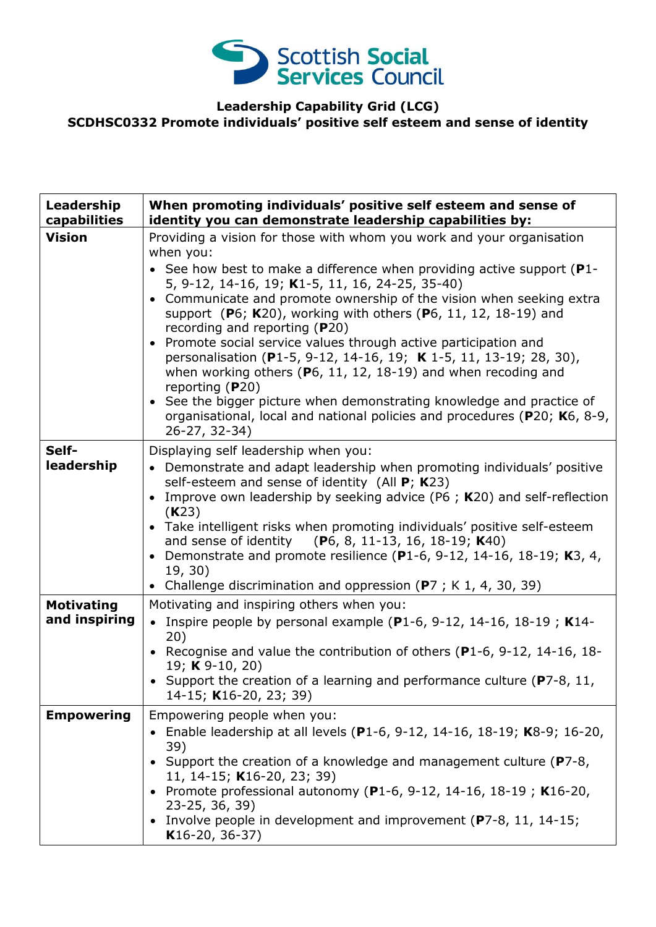

## **Leadership Capability Grid (LCG) SCDHSC0332 Promote individuals' positive self esteem and sense of identity**

| Leadership<br>capabilities         | When promoting individuals' positive self esteem and sense of<br>identity you can demonstrate leadership capabilities by:                                                                                                                                                                                                                                                                                                                                                                                                                                                                                                                                                                                                                                                                                                                   |
|------------------------------------|---------------------------------------------------------------------------------------------------------------------------------------------------------------------------------------------------------------------------------------------------------------------------------------------------------------------------------------------------------------------------------------------------------------------------------------------------------------------------------------------------------------------------------------------------------------------------------------------------------------------------------------------------------------------------------------------------------------------------------------------------------------------------------------------------------------------------------------------|
| <b>Vision</b>                      | Providing a vision for those with whom you work and your organisation<br>when you:<br>• See how best to make a difference when providing active support ( $P1$ -<br>5, 9-12, 14-16, 19; K1-5, 11, 16, 24-25, 35-40)<br>Communicate and promote ownership of the vision when seeking extra<br>$\bullet$<br>support (P6; K20), working with others (P6, 11, 12, 18-19) and<br>recording and reporting (P20)<br>Promote social service values through active participation and<br>$\bullet$<br>personalisation (P1-5, 9-12, 14-16, 19; K 1-5, 11, 13-19; 28, 30),<br>when working others ( $P_6$ , 11, 12, 18-19) and when recoding and<br>reporting $(P20)$<br>See the bigger picture when demonstrating knowledge and practice of<br>$\bullet$<br>organisational, local and national policies and procedures (P20; K6, 8-9,<br>26-27, 32-34) |
| Self-<br>leadership                | Displaying self leadership when you:<br>Demonstrate and adapt leadership when promoting individuals' positive<br>$\bullet$<br>self-esteem and sense of identity (All $P$ ; K23)<br>Improve own leadership by seeking advice (P6 ; K20) and self-reflection<br>$\bullet$<br>(K23)<br>• Take intelligent risks when promoting individuals' positive self-esteem<br>and sense of identity (P6, 8, 11-13, 16, 18-19; K40)<br>Demonstrate and promote resilience (P1-6, 9-12, 14-16, 18-19; K3, 4,<br>$\bullet$<br>19, 30)<br>• Challenge discrimination and oppression (P7; K 1, 4, 30, 39)                                                                                                                                                                                                                                                     |
| <b>Motivating</b><br>and inspiring | Motivating and inspiring others when you:<br>Inspire people by personal example ( $P1-6$ , 9-12, 14-16, 18-19; K14-<br>$\bullet$<br>20)<br>• Recognise and value the contribution of others (P1-6, 9-12, 14-16, 18-<br>19; K 9-10, 20)<br>• Support the creation of a learning and performance culture ( $P7-8$ , 11,<br>14-15; K16-20, 23; 39)                                                                                                                                                                                                                                                                                                                                                                                                                                                                                             |
| <b>Empowering</b>                  | Empowering people when you:<br>• Enable leadership at all levels (P1-6, 9-12, 14-16, 18-19; K8-9; 16-20,<br>39)<br>• Support the creation of a knowledge and management culture (P7-8,<br>11, 14-15; K16-20, 23; 39)<br>• Promote professional autonomy (P1-6, 9-12, 14-16, 18-19; K16-20,<br>23-25, 36, 39)<br>• Involve people in development and improvement (P7-8, 11, 14-15;<br>$K16-20, 36-37)$                                                                                                                                                                                                                                                                                                                                                                                                                                       |